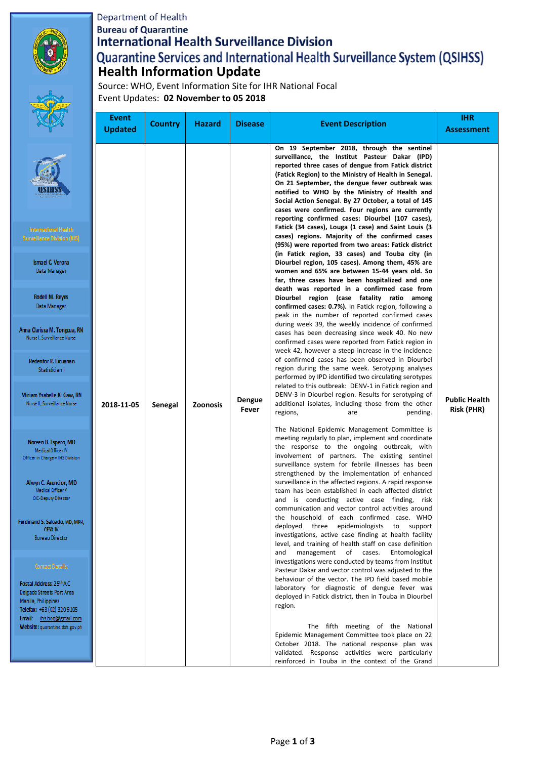#### Department of Health

**Bureau of Quarantine** 

Anna (

Ï

Miria N<sub>t</sub>

> $\overline{N}$ Offic

> > $\overline{A}$

Ferdina

Posta Delga Manil Telefa Email Webs

# **International Health Surveillance Division Quarantine Services and International Health Surveillance System (QSIHSS)**<br>Health Information Update

Source: WHO, Event Information Site for IHR National Focal Event Updates: **02 November to 05 2018**

|                                                                                                                                                                                                                                                                                                                                                                                                                      | <b>Event</b><br><b>Updated</b> | <b>Country</b> | <b>Hazard</b>              | <b>Disease</b>                                                                                                                                                                                        | <b>Event Description</b>                                                                                                                                                                                                                                                                                                                                                                                                                                                                                                                                                                                                                                                                                                                                                                                                                                                                                                                                                                                                                                                                                                                                                                                                                                                                                                                                                                                                                                                                                                                                                    | <b>IHR</b><br><b>Assessment</b>    |
|----------------------------------------------------------------------------------------------------------------------------------------------------------------------------------------------------------------------------------------------------------------------------------------------------------------------------------------------------------------------------------------------------------------------|--------------------------------|----------------|----------------------------|-------------------------------------------------------------------------------------------------------------------------------------------------------------------------------------------------------|-----------------------------------------------------------------------------------------------------------------------------------------------------------------------------------------------------------------------------------------------------------------------------------------------------------------------------------------------------------------------------------------------------------------------------------------------------------------------------------------------------------------------------------------------------------------------------------------------------------------------------------------------------------------------------------------------------------------------------------------------------------------------------------------------------------------------------------------------------------------------------------------------------------------------------------------------------------------------------------------------------------------------------------------------------------------------------------------------------------------------------------------------------------------------------------------------------------------------------------------------------------------------------------------------------------------------------------------------------------------------------------------------------------------------------------------------------------------------------------------------------------------------------------------------------------------------------|------------------------------------|
| ternational Health.<br>illance Division (I <del>HS</del> ).<br>smael C. Verona<br>Data Manager<br>Rodell M. Reyes<br>Data Manager<br>larissa M. Tongcua, RN<br>e I, Surveillance Nurse<br>dentor R. Licuanan<br>Statistician I                                                                                                                                                                                       | 2018-11-05                     |                | <b>Zoonosis</b><br>Senegal | Dengue<br>Fever                                                                                                                                                                                       | On 19 September 2018, through the sentinel<br>surveillance, the Institut Pasteur Dakar (IPD)<br>reported three cases of dengue from Fatick district<br>(Fatick Region) to the Ministry of Health in Senegal.<br>On 21 September, the dengue fever outbreak was<br>notified to WHO by the Ministry of Health and<br>Social Action Senegal. By 27 October, a total of 145<br>cases were confirmed. Four regions are currently<br>reporting confirmed cases: Diourbel (107 cases),<br>Fatick (34 cases), Louga (1 case) and Saint Louis (3<br>cases) regions. Majority of the confirmed cases<br>(95%) were reported from two areas: Fatick district<br>(in Fatick region, 33 cases) and Touba city (in<br>Diourbel region, 105 cases). Among them, 45% are<br>women and 65% are between 15-44 years old. So<br>far, three cases have been hospitalized and one<br>death was reported in a confirmed case from<br>Diourbel region (case fatality ratio among<br>confirmed cases: 0.7%). In Fatick region, following a<br>peak in the number of reported confirmed cases<br>during week 39, the weekly incidence of confirmed<br>cases has been decreasing since week 40. No new<br>confirmed cases were reported from Fatick region in<br>week 42, however a steep increase in the incidence<br>of confirmed cases has been observed in Diourbel<br>region during the same week. Serotyping analyses<br>performed by IPD identified two circulating serotypes<br>related to this outbreak: DENV-1 in Fatick region and<br>DENV-3 in Diourbel region. Results for serotyping of |                                    |
| n Ysabelle K. Gaw, RN<br>e II, Surveillance Nurse<br>reen B. Espero, MD<br>Medical Officer IV<br>in Charge - IHS Division<br>yn C. Asuncion, MD<br>Medical Officer V<br><b>NC-Deputy Director</b><br>nd S. Salcedo, MD, MPH,<br>CESO IV<br>Bureau Director<br>Contact Details:<br>Address: 25th A.C.<br>o Streets Port Area<br>, Philippines<br>r +63 (02) 320-9105<br>ihs.boq@gmail.com<br>et quarantine.doh.gov.ph |                                |                |                            |                                                                                                                                                                                                       | additional isolates, including those from the other<br>regions,<br>pending.<br>are<br>The National Epidemic Management Committee is<br>meeting regularly to plan, implement and coordinate<br>the response to the ongoing outbreak, with<br>involvement of partners. The existing sentinel<br>surveillance system for febrile illnesses has been<br>strengthened by the implementation of enhanced<br>surveillance in the affected regions. A rapid response<br>team has been established in each affected district<br>and is conducting active case finding, risk<br>communication and vector control activities around<br>the household of each confirmed case. WHO<br>deployed three epidemiologists to<br>support<br>investigations, active case finding at health facility<br>level, and training of health staff on case definition<br>management of cases.<br>and<br>Entomological<br>investigations were conducted by teams from Institut<br>Pasteur Dakar and vector control was adjusted to the<br>behaviour of the vector. The IPD field based mobile<br>laboratory for diagnostic of dengue fever was<br>deployed in Fatick district, then in Touba in Diourbel<br>region.<br>The fifth meeting of the National                                                                                                                                                                                                                                                                                                                                                 | <b>Public Health</b><br>Risk (PHR) |
|                                                                                                                                                                                                                                                                                                                                                                                                                      |                                |                |                            | Epidemic Management Committee took place on 22<br>October 2018. The national response plan was<br>validated. Response activities were particularly<br>reinforced in Touba in the context of the Grand |                                                                                                                                                                                                                                                                                                                                                                                                                                                                                                                                                                                                                                                                                                                                                                                                                                                                                                                                                                                                                                                                                                                                                                                                                                                                                                                                                                                                                                                                                                                                                                             |                                    |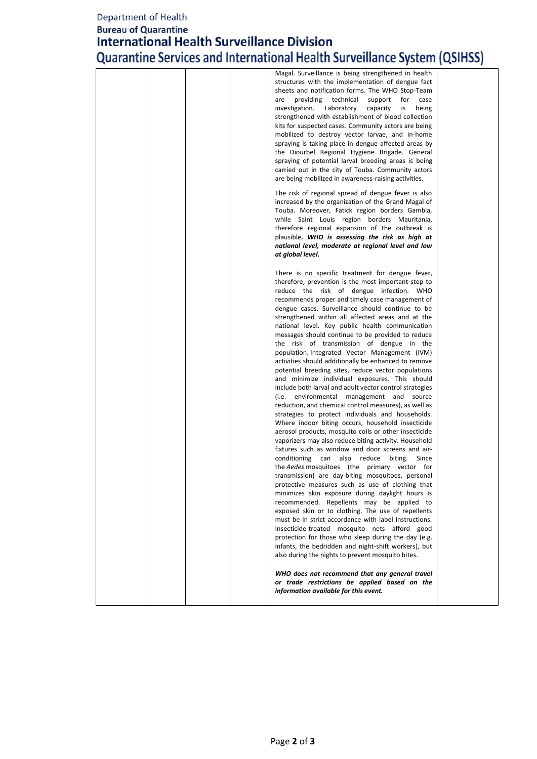## Department of Health

## **Bureau of Quarantine International Health Surveillance Division** Quarantine Services and International Health Surveillance System (QSIHSS)

|  |  | Magal. Surveillance is being strengthened in health<br>structures with the implementation of dengue fact<br>sheets and notification forms. The WHO Stop-Team<br>providing<br>technical<br>are<br>support<br>for<br>case<br>investigation.<br>Laboratory<br>capacity<br>is<br>being<br>strengthened with establishment of blood collection<br>kits for suspected cases. Community actors are being<br>mobilized to destroy vector larvae, and in-home<br>spraying is taking place in dengue affected areas by<br>the Diourbel Regional Hygiene Brigade. General<br>spraying of potential larval breeding areas is being<br>carried out in the city of Touba. Community actors<br>are being mobilized in awareness-raising activities.<br>The risk of regional spread of dengue fever is also<br>increased by the organization of the Grand Magal of<br>Touba. Moreover, Fatick region borders Gambia,<br>while Saint Louis region borders Mauritania,<br>therefore regional expansion of the outbreak is<br>plausible. WHO is assessing the risk as high at<br>national level, moderate at regional level and low                                                                                                                                                                                                                                                                                                                                                                                                                                                                                                                                                                                                                                                                                                                                                                                                                                                        |
|--|--|-------------------------------------------------------------------------------------------------------------------------------------------------------------------------------------------------------------------------------------------------------------------------------------------------------------------------------------------------------------------------------------------------------------------------------------------------------------------------------------------------------------------------------------------------------------------------------------------------------------------------------------------------------------------------------------------------------------------------------------------------------------------------------------------------------------------------------------------------------------------------------------------------------------------------------------------------------------------------------------------------------------------------------------------------------------------------------------------------------------------------------------------------------------------------------------------------------------------------------------------------------------------------------------------------------------------------------------------------------------------------------------------------------------------------------------------------------------------------------------------------------------------------------------------------------------------------------------------------------------------------------------------------------------------------------------------------------------------------------------------------------------------------------------------------------------------------------------------------------------------------------------------------------------------------------------------------------------------------|
|  |  | at global level.<br>There is no specific treatment for dengue fever,<br>therefore, prevention is the most important step to<br>reduce the risk of dengue infection. WHO<br>recommends proper and timely case management of<br>dengue cases. Surveillance should continue to be<br>strengthened within all affected areas and at the<br>national level. Key public health communication<br>messages should continue to be provided to reduce<br>the risk of transmission of dengue in the<br>population. Integrated Vector Management (IVM)<br>activities should additionally be enhanced to remove<br>potential breeding sites, reduce vector populations<br>and minimize individual exposures. This should<br>include both larval and adult vector control strategies<br>(i.e. environmental management and source<br>reduction, and chemical control measures), as well as<br>strategies to protect individuals and households.<br>Where indoor biting occurs, household insecticide<br>aerosol products, mosquito coils or other insecticide<br>vaporizers may also reduce biting activity. Household<br>fixtures such as window and door screens and air-<br>conditioning<br>can<br>also<br>reduce<br>biting.<br>Since<br>the Aedes mosquitoes (the primary vector<br>for<br>transmission) are day-biting mosquitoes, personal<br>protective measures such as use of clothing that<br>minimizes skin exposure during daylight hours is<br>recommended. Repellents may be applied to<br>exposed skin or to clothing. The use of repellents<br>must be in strict accordance with label instructions.<br>Insecticide-treated mosquito nets afford good<br>protection for those who sleep during the day (e.g.<br>infants, the bedridden and night-shift workers), but<br>also during the nights to prevent mosquito bites.<br>WHO does not recommend that any general travel<br>or trade restrictions be applied based on the<br>information available for this event. |